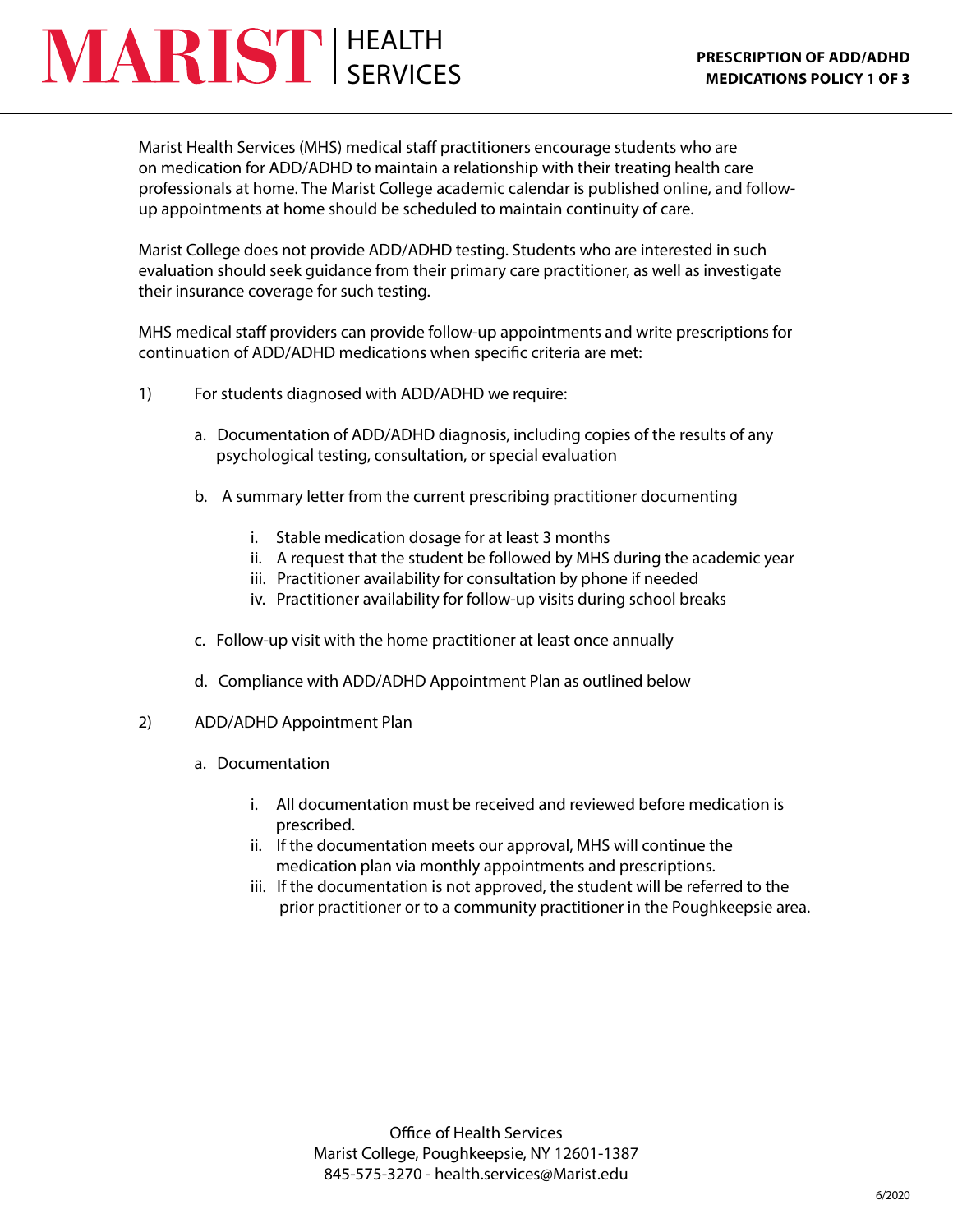## HEALTH SERVICES

Marist Health Services (MHS) medical staff practitioners encourage students who are on medication for ADD/ADHD to maintain a relationship with their treating health care professionals at home. The Marist College academic calendar is published online, and followup appointments at home should be scheduled to maintain continuity of care.

Marist College does not provide ADD/ADHD testing. Students who are interested in such evaluation should seek guidance from their primary care practitioner, as well as investigate their insurance coverage for such testing.

MHS medical staff providers can provide follow-up appointments and write prescriptions for continuation of ADD/ADHD medications when specific criteria are met:

- 1) For students diagnosed with ADD/ADHD we require:
	- a. Documentation of ADD/ADHD diagnosis, including copies of the results of any psychological testing, consultation, or special evaluation
	- b. A summary letter from the current prescribing practitioner documenting
		- i. Stable medication dosage for at least 3 months
		- ii. A request that the student be followed by MHS during the academic year
		- iii. Practitioner availability for consultation by phone if needed
		- iv. Practitioner availability for follow-up visits during school breaks
	- c. Follow-up visit with the home practitioner at least once annually
	- d. Compliance with ADD/ADHD Appointment Plan as outlined below
- 2) ADD/ADHD Appointment Plan
	- a. Documentation
		- i. All documentation must be received and reviewed before medication is prescribed.
		- ii. If the documentation meets our approval, MHS will continue the medication plan via monthly appointments and prescriptions.
		- iii. If the documentation is not approved, the student will be referred to the prior practitioner or to a community practitioner in the Poughkeepsie area.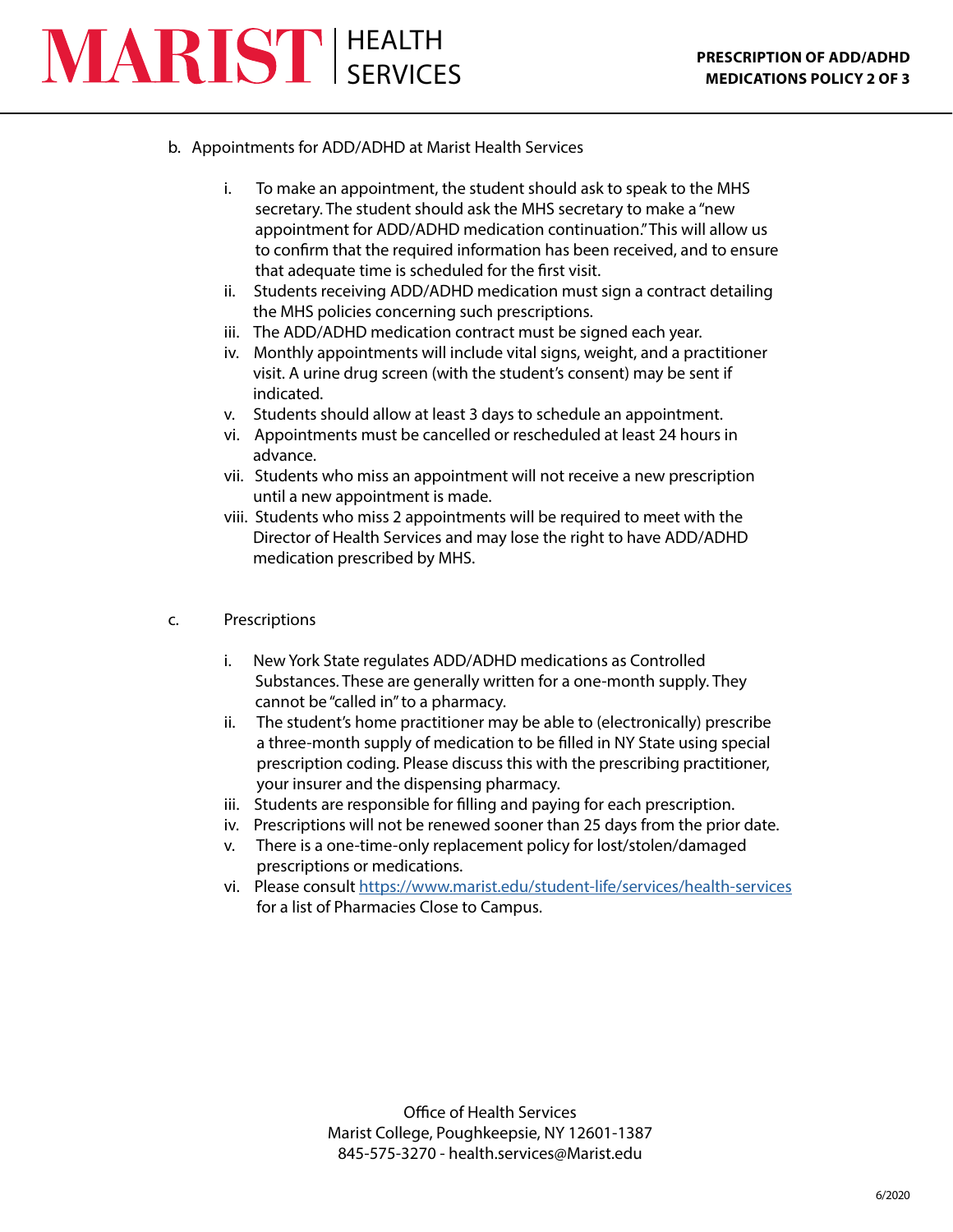## HEALTH SERVICES

## b. Appointments for ADD/ADHD at Marist Health Services

- i. To make an appointment, the student should ask to speak to the MHS secretary. The student should ask the MHS secretary to make a "new appointment for ADD/ADHD medication continuation." This will allow us to confirm that the required information has been received, and to ensure that adequate time is scheduled for the first visit.
- ii. Students receiving ADD/ADHD medication must sign a contract detailing the MHS policies concerning such prescriptions.
- iii. The ADD/ADHD medication contract must be signed each year.
- iv. Monthly appointments will include vital signs, weight, and a practitioner visit. A urine drug screen (with the student's consent) may be sent if indicated.
- v. Students should allow at least 3 days to schedule an appointment.
- vi. Appointments must be cancelled or rescheduled at least 24 hours in advance.
- vii. Students who miss an appointment will not receive a new prescription until a new appointment is made.
- viii. Students who miss 2 appointments will be required to meet with the Director of Health Services and may lose the right to have ADD/ADHD medication prescribed by MHS.
- c. Prescriptions
	- i. New York State regulates ADD/ADHD medications as Controlled Substances. These are generally written for a one-month supply. They cannot be "called in" to a pharmacy.
	- ii. The student's home practitioner may be able to (electronically) prescribe a three-month supply of medication to be filled in NY State using special prescription coding. Please discuss this with the prescribing practitioner, your insurer and the dispensing pharmacy.
	- iii. Students are responsible for filling and paying for each prescription.
	- iv. Prescriptions will not be renewed sooner than 25 days from the prior date.
	- v. There is a one-time-only replacement policy for lost/stolen/damaged prescriptions or medications.
	- vi. Please consult <https://www.marist.edu/student-life/services/health-services> for a list of Pharmacies Close to Campus.

Office of Health Services Marist College, Poughkeepsie, NY 12601-1387 845-575-3270 - health.services@Marist.edu